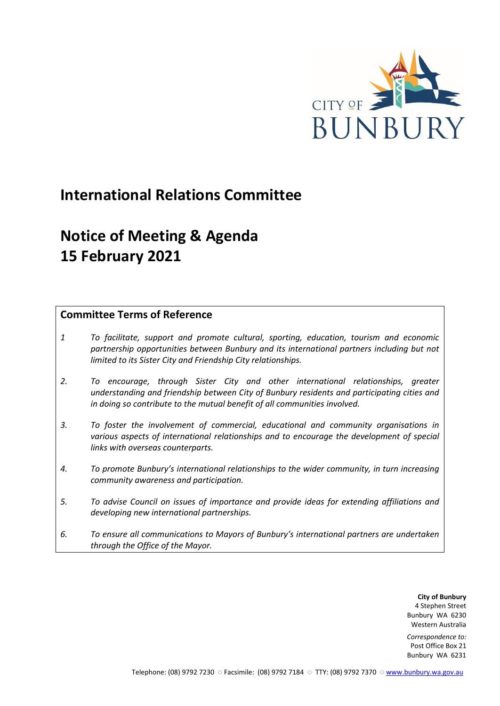

# **International Relations Committee**

# **Notice of Meeting & Agenda 15 February 2021**

# **Committee Terms of Reference**

- *1 To facilitate, support and promote cultural, sporting, education, tourism and economic partnership opportunities between Bunbury and its international partners including but not limited to its Sister City and Friendship City relationships.*
- *2. To encourage, through Sister City and other international relationships, greater understanding and friendship between City of Bunbury residents and participating cities and in doing so contribute to the mutual benefit of all communities involved.*
- *3. To foster the involvement of commercial, educational and community organisations in various aspects of international relationships and to encourage the development of special links with overseas counterparts.*
- *4. To promote Bunbury's international relationships to the wider community, in turn increasing community awareness and participation.*
- *5. To advise Council on issues of importance and provide ideas for extending affiliations and developing new international partnerships.*
- *6. To ensure all communications to Mayors of Bunbury's international partners are undertaken through the Office of the Mayor.*

**City of Bunbury** 4 Stephen Street Bunbury WA 6230 Western Australia

*Correspondence to:* Post Office Box 21 Bunbury WA 6231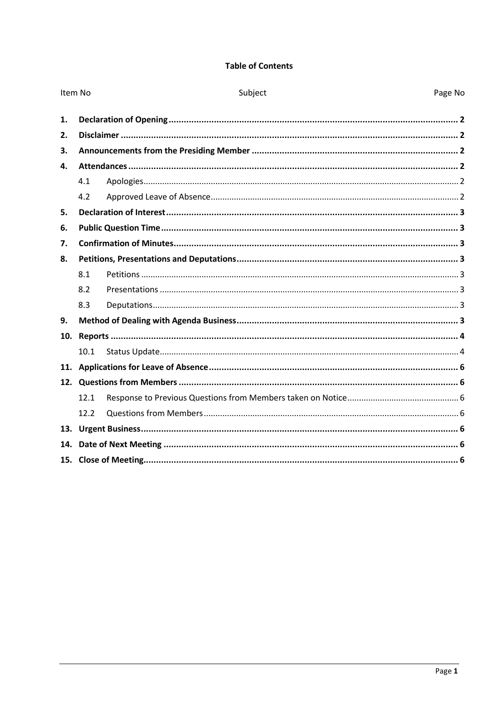## **Table of Contents**

| Item No |      | Subject<br>Page No |  |  |
|---------|------|--------------------|--|--|
| 1.      |      |                    |  |  |
| 2.      |      |                    |  |  |
| 3.      |      |                    |  |  |
| 4.      |      |                    |  |  |
|         | 4.1  |                    |  |  |
|         | 4.2  |                    |  |  |
| 5.      |      |                    |  |  |
| 6.      |      |                    |  |  |
| 7.      |      |                    |  |  |
| 8.      |      |                    |  |  |
|         | 8.1  |                    |  |  |
|         | 8.2  |                    |  |  |
|         | 8.3  |                    |  |  |
| 9.      |      |                    |  |  |
| 10.     |      |                    |  |  |
|         | 10.1 |                    |  |  |
|         |      |                    |  |  |
|         |      |                    |  |  |
|         | 12.1 |                    |  |  |
|         | 12.2 |                    |  |  |
|         |      |                    |  |  |
| 14.     |      |                    |  |  |
|         |      |                    |  |  |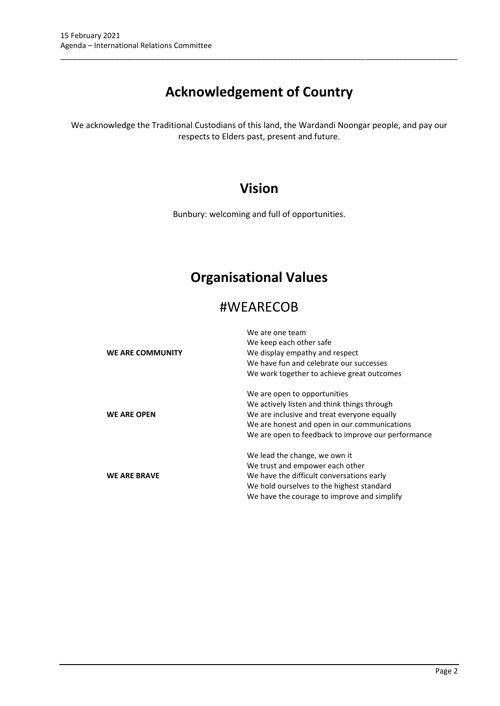# **Acknowledgement of Country**

\_\_\_\_\_\_\_\_\_\_\_\_\_\_\_\_\_\_\_\_\_\_\_\_\_\_\_\_\_\_\_\_\_\_\_\_\_\_\_\_\_\_\_\_\_\_\_\_\_\_\_\_\_\_\_\_\_\_\_\_\_\_\_\_\_\_\_\_\_\_\_\_\_\_\_\_\_\_\_\_\_\_\_\_\_\_\_\_\_\_\_\_\_\_\_

We acknowledge the Traditional Custodians of this land, the Wardandi Noongar people, and pay our respects to Elders past, present and future.

# **Vision**

Bunbury: welcoming and full of opportunities.

# **Organisational Values**

# #WEARECOB

|                     | We are one team                                    |
|---------------------|----------------------------------------------------|
|                     | We keep each other safe                            |
| WE ARE COMMUNITY    | We display empathy and respect                     |
|                     | We have fun and celebrate our successes            |
|                     | We work together to achieve great outcomes         |
|                     | We are open to opportunities                       |
|                     | We actively listen and think things through        |
| <b>WE ARE OPEN</b>  | We are inclusive and treat everyone equally        |
|                     | We are honest and open in our communications       |
|                     | We are open to feedback to improve our performance |
|                     | We lead the change, we own it                      |
|                     | We trust and empower each other                    |
| <b>WE ARE BRAVE</b> | We have the difficult conversations early          |
|                     | We hold ourselves to the highest standard          |
|                     | We have the courage to improve and simplify        |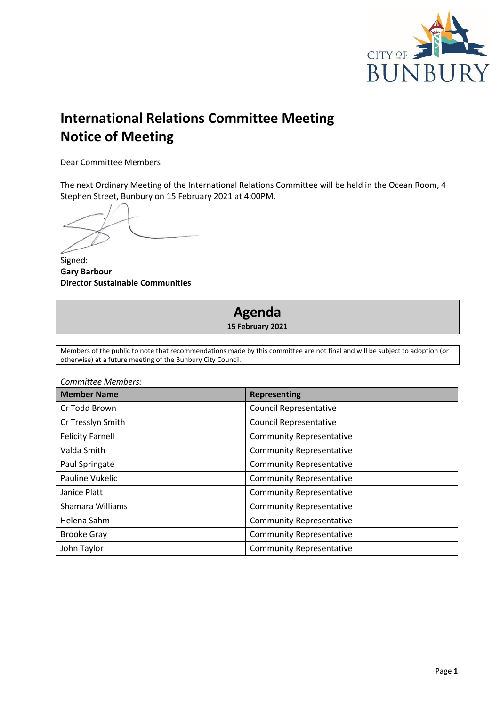

# **International Relations Committee Meeting Notice of Meeting**

Dear Committee Members

The next Ordinary Meeting of the International Relations Committee will be held in the Ocean Room, 4 Stephen Street, Bunbury on 15 February 2021 at 4:00PM.

Signed: **Gary Barbour Director Sustainable Communities**

# **Agenda 15 February 2021**

Members of the public to note that recommendations made by this committee are not final and will be subject to adoption (or otherwise) at a future meeting of the Bunbury City Council.

| Committee Members:      |                                 |  |
|-------------------------|---------------------------------|--|
| <b>Member Name</b>      | <b>Representing</b>             |  |
| Cr Todd Brown           | <b>Council Representative</b>   |  |
| Cr Tresslyn Smith       | <b>Council Representative</b>   |  |
| <b>Felicity Farnell</b> | <b>Community Representative</b> |  |
| Valda Smith             | <b>Community Representative</b> |  |
| Paul Springate          | <b>Community Representative</b> |  |
| Pauline Vukelic         | <b>Community Representative</b> |  |
| Janice Platt            | <b>Community Representative</b> |  |
| Shamara Williams        | <b>Community Representative</b> |  |
| Helena Sahm             | <b>Community Representative</b> |  |
| <b>Brooke Gray</b>      | <b>Community Representative</b> |  |
| John Taylor             | <b>Community Representative</b> |  |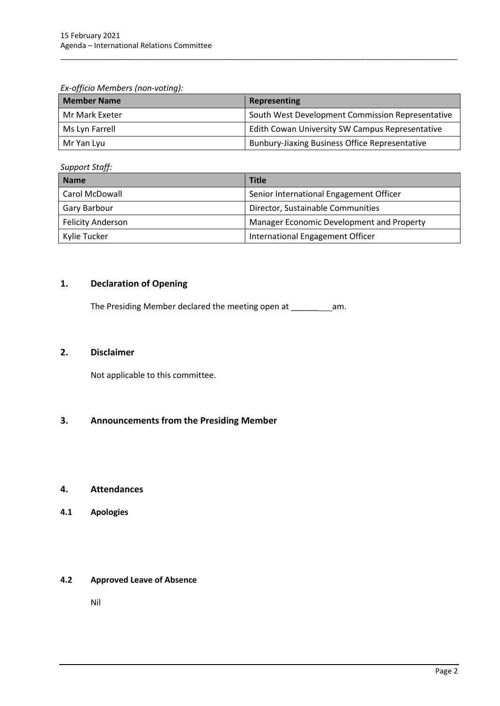*Ex-officio Members (non-voting):*

| <b>Member Name</b> | Representing                                          |
|--------------------|-------------------------------------------------------|
| Mr Mark Exeter     | South West Development Commission Representative      |
| Ms Lyn Farrell     | Edith Cowan University SW Campus Representative       |
| Mr Yan Lyu         | <b>Bunbury-Jiaxing Business Office Representative</b> |

\_\_\_\_\_\_\_\_\_\_\_\_\_\_\_\_\_\_\_\_\_\_\_\_\_\_\_\_\_\_\_\_\_\_\_\_\_\_\_\_\_\_\_\_\_\_\_\_\_\_\_\_\_\_\_\_\_\_\_\_\_\_\_\_\_\_\_\_\_\_\_\_\_\_\_\_\_\_\_\_\_\_\_\_\_\_\_\_\_\_\_\_\_\_\_

*Support Staff:*

| <b>Name</b>              | <b>Title</b>                              |  |
|--------------------------|-------------------------------------------|--|
| Carol McDowall           | Senior International Engagement Officer   |  |
| Gary Barbour             | Director, Sustainable Communities         |  |
| <b>Felicity Anderson</b> | Manager Economic Development and Property |  |
| Kylie Tucker             | International Engagement Officer          |  |

# <span id="page-4-0"></span>**1. Declaration of Opening**

The Presiding Member declared the meeting open at \_\_\_\_\_\_\_\_\_\_\_\_ am.

### <span id="page-4-1"></span>**2. Disclaimer**

Not applicable to this committee.

# <span id="page-4-2"></span>**3. Announcements from the Presiding Member**

#### <span id="page-4-3"></span>**4. Attendances**

<span id="page-4-4"></span>**4.1 Apologies**

#### <span id="page-4-5"></span>**4.2 Approved Leave of Absence**

Nil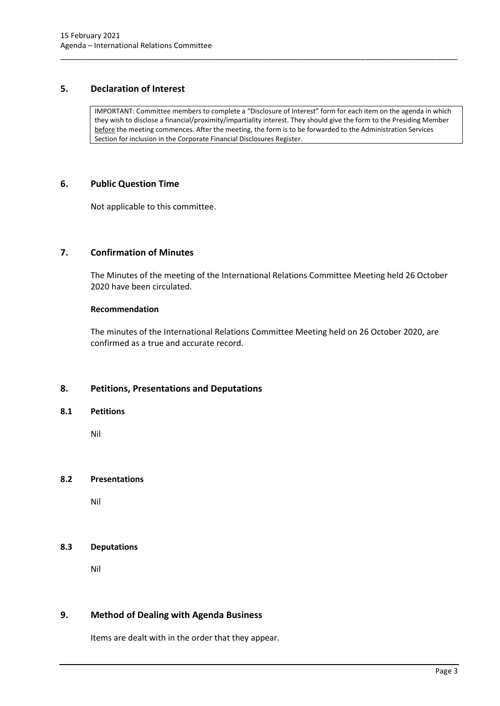## <span id="page-5-0"></span>**5. Declaration of Interest**

IMPORTANT: Committee members to complete a "Disclosure of Interest" form for each item on the agenda in which they wish to disclose a financial/proximity/impartiality interest. They should give the form to the Presiding Member before the meeting commences. After the meeting, the form is to be forwarded to the Administration Services Section for inclusion in the Corporate Financial Disclosures Register.

\_\_\_\_\_\_\_\_\_\_\_\_\_\_\_\_\_\_\_\_\_\_\_\_\_\_\_\_\_\_\_\_\_\_\_\_\_\_\_\_\_\_\_\_\_\_\_\_\_\_\_\_\_\_\_\_\_\_\_\_\_\_\_\_\_\_\_\_\_\_\_\_\_\_\_\_\_\_\_\_\_\_\_\_\_\_\_\_\_\_\_\_\_\_\_

### <span id="page-5-1"></span>**6. Public Question Time**

Not applicable to this committee.

# <span id="page-5-2"></span>**7. Confirmation of Minutes**

The Minutes of the meeting of the International Relations Committee Meeting held 26 October 2020 have been circulated.

#### **Recommendation**

The minutes of the International Relations Committee Meeting held on 26 October 2020, are confirmed as a true and accurate record.

# <span id="page-5-3"></span>**8. Petitions, Presentations and Deputations**

#### <span id="page-5-4"></span>**8.1 Petitions**

Nil

#### <span id="page-5-5"></span>**8.2 Presentations**

Nil

## <span id="page-5-6"></span>**8.3 Deputations**

Nil

# <span id="page-5-7"></span>**9. Method of Dealing with Agenda Business**

Items are dealt with in the order that they appear.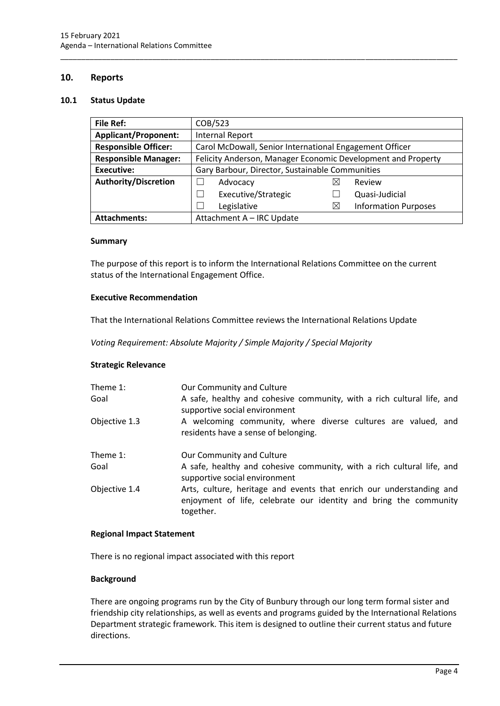## <span id="page-6-0"></span>**10. Reports**

#### <span id="page-6-1"></span>**10.1 Status Update**

| <b>File Ref:</b>            | COB/523                                                      |   |                             |  |
|-----------------------------|--------------------------------------------------------------|---|-----------------------------|--|
| <b>Applicant/Proponent:</b> | <b>Internal Report</b>                                       |   |                             |  |
| <b>Responsible Officer:</b> | Carol McDowall, Senior International Engagement Officer      |   |                             |  |
| <b>Responsible Manager:</b> | Felicity Anderson, Manager Economic Development and Property |   |                             |  |
| <b>Executive:</b>           | Gary Barbour, Director, Sustainable Communities              |   |                             |  |
| <b>Authority/Discretion</b> | Advocacy                                                     | ⋉ | Review                      |  |
|                             | Executive/Strategic                                          |   | Quasi-Judicial              |  |
|                             | Legislative                                                  | M | <b>Information Purposes</b> |  |
| <b>Attachments:</b>         | Attachment A - IRC Update                                    |   |                             |  |

\_\_\_\_\_\_\_\_\_\_\_\_\_\_\_\_\_\_\_\_\_\_\_\_\_\_\_\_\_\_\_\_\_\_\_\_\_\_\_\_\_\_\_\_\_\_\_\_\_\_\_\_\_\_\_\_\_\_\_\_\_\_\_\_\_\_\_\_\_\_\_\_\_\_\_\_\_\_\_\_\_\_\_\_\_\_\_\_\_\_\_\_\_\_\_

#### **Summary**

The purpose of this report is to inform the International Relations Committee on the current status of the International Engagement Office.

#### **Executive Recommendation**

That the International Relations Committee reviews the International Relations Update

*Voting Requirement: Absolute Majority / Simple Majority / Special Majority*

#### **Strategic Relevance**

| Theme 1:<br>Goal | Our Community and Culture<br>A safe, healthy and cohesive community, with a rich cultural life, and<br>supportive social environment                   |  |  |  |
|------------------|--------------------------------------------------------------------------------------------------------------------------------------------------------|--|--|--|
| Objective 1.3    | A welcoming community, where diverse cultures are valued, and<br>residents have a sense of belonging.                                                  |  |  |  |
| Theme 1:         | Our Community and Culture                                                                                                                              |  |  |  |
| Goal             | A safe, healthy and cohesive community, with a rich cultural life, and<br>supportive social environment                                                |  |  |  |
| Objective 1.4    | Arts, culture, heritage and events that enrich our understanding and<br>enjoyment of life, celebrate our identity and bring the community<br>together. |  |  |  |

#### **Regional Impact Statement**

There is no regional impact associated with this report

#### **Background**

There are ongoing programs run by the City of Bunbury through our long term formal sister and friendship city relationships, as well as events and programs guided by the International Relations Department strategic framework. This item is designed to outline their current status and future directions.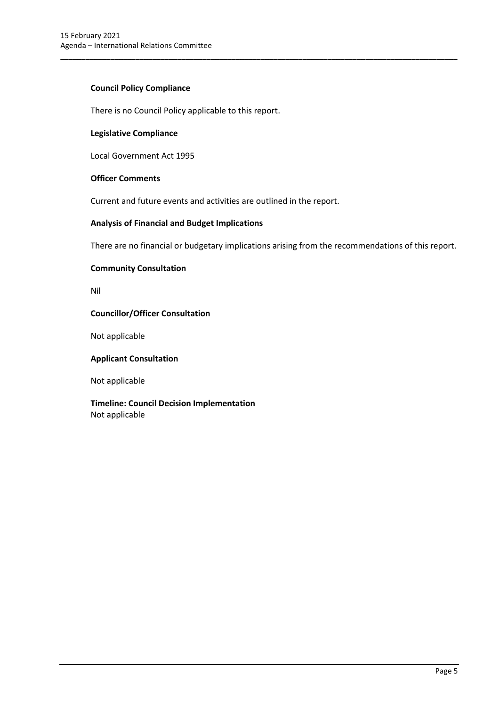## **Council Policy Compliance**

There is no Council Policy applicable to this report.

#### **Legislative Compliance**

Local Government Act 1995

#### **Officer Comments**

Current and future events and activities are outlined in the report.

### **Analysis of Financial and Budget Implications**

There are no financial or budgetary implications arising from the recommendations of this report.

\_\_\_\_\_\_\_\_\_\_\_\_\_\_\_\_\_\_\_\_\_\_\_\_\_\_\_\_\_\_\_\_\_\_\_\_\_\_\_\_\_\_\_\_\_\_\_\_\_\_\_\_\_\_\_\_\_\_\_\_\_\_\_\_\_\_\_\_\_\_\_\_\_\_\_\_\_\_\_\_\_\_\_\_\_\_\_\_\_\_\_\_\_\_\_

#### **Community Consultation**

Nil

### **Councillor/Officer Consultation**

Not applicable

#### **Applicant Consultation**

Not applicable

**Timeline: Council Decision Implementation** Not applicable